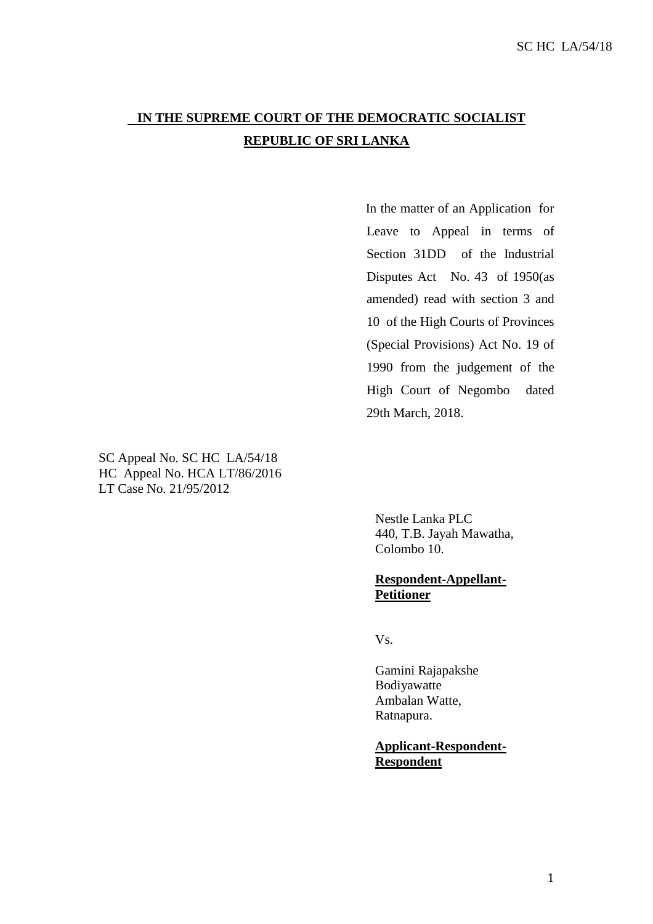## **IN THE SUPREME COURT OF THE DEMOCRATIC SOCIALIST REPUBLIC OF SRI LANKA**

In the matter of an Application for Leave to Appeal in terms of Section 31DD of the Industrial Disputes Act No. 43 of 1950(as amended) read with section 3 and 10 of the High Courts of Provinces (Special Provisions) Act No. 19 of 1990 from the judgement of the High Court of Negombo dated 29th March, 2018.

SC Appeal No. SC HC LA/54/18 HC Appeal No. HCA LT/86/2016 LT Case No. 21/95/2012

> Nestle Lanka PLC 440, T.B. Jayah Mawatha, Colombo 10.

## **Respondent-Appellant-Petitioner**

Vs.

Gamini Rajapakshe Bodiyawatte Ambalan Watte, Ratnapura.

**Applicant-Respondent-Respondent**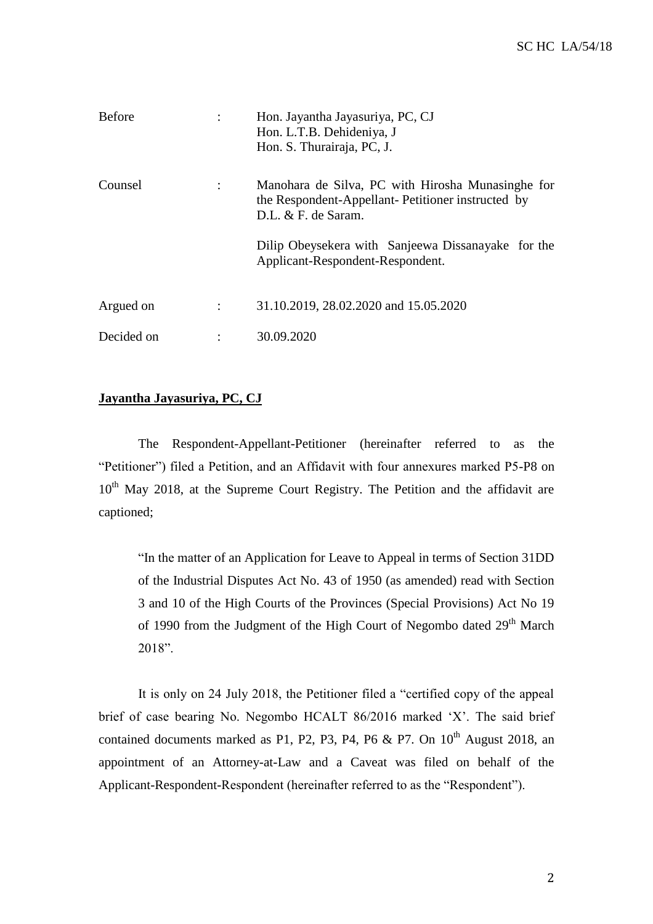| <b>Before</b> | Hon. Jayantha Jayasuriya, PC, CJ<br>Hon. L.T.B. Dehideniya, J<br>Hon. S. Thurairaja, PC, J.                                    |
|---------------|--------------------------------------------------------------------------------------------------------------------------------|
| Counsel       | Manohara de Silva, PC with Hirosha Munasinghe for<br>the Respondent-Appellant- Petitioner instructed by<br>D.L. & F. de Saram. |
|               | Dilip Obeysekera with Sanjeewa Dissanayake for the<br>Applicant-Respondent-Respondent.                                         |
| Argued on     | 31.10.2019, 28.02.2020 and 15.05.2020                                                                                          |
| Decided on    | 30.09.2020                                                                                                                     |

## **Jayantha Jayasuriya, PC, CJ**

The Respondent-Appellant-Petitioner (hereinafter referred to as the "Petitioner") filed a Petition, and an Affidavit with four annexures marked P5-P8 on  $10<sup>th</sup>$  May 2018, at the Supreme Court Registry. The Petition and the affidavit are captioned;

"In the matter of an Application for Leave to Appeal in terms of Section 31DD of the Industrial Disputes Act No. 43 of 1950 (as amended) read with Section 3 and 10 of the High Courts of the Provinces (Special Provisions) Act No 19 of 1990 from the Judgment of the High Court of Negombo dated 29<sup>th</sup> March 2018".

It is only on 24 July 2018, the Petitioner filed a "certified copy of the appeal brief of case bearing No. Negombo HCALT 86/2016 marked 'X'. The said brief contained documents marked as P1, P2, P3, P4, P6 & P7. On  $10^{th}$  August 2018, an appointment of an Attorney-at-Law and a Caveat was filed on behalf of the Applicant-Respondent-Respondent (hereinafter referred to as the "Respondent").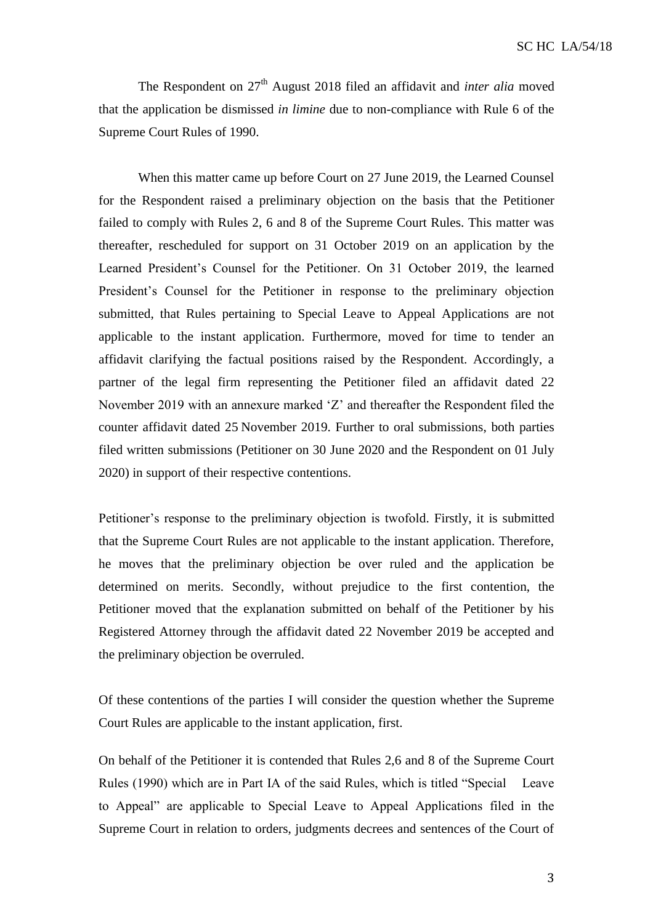The Respondent on 27<sup>th</sup> August 2018 filed an affidavit and *inter alia* moved that the application be dismissed *in limine* due to non-compliance with Rule 6 of the Supreme Court Rules of 1990.

When this matter came up before Court on 27 June 2019, the Learned Counsel for the Respondent raised a preliminary objection on the basis that the Petitioner failed to comply with Rules 2, 6 and 8 of the Supreme Court Rules. This matter was thereafter, rescheduled for support on 31 October 2019 on an application by the Learned President's Counsel for the Petitioner. On 31 October 2019, the learned President's Counsel for the Petitioner in response to the preliminary objection submitted, that Rules pertaining to Special Leave to Appeal Applications are not applicable to the instant application. Furthermore, moved for time to tender an affidavit clarifying the factual positions raised by the Respondent. Accordingly, a partner of the legal firm representing the Petitioner filed an affidavit dated 22 November 2019 with an annexure marked 'Z' and thereafter the Respondent filed the counter affidavit dated 25 November 2019. Further to oral submissions, both parties filed written submissions (Petitioner on 30 June 2020 and the Respondent on 01 July 2020) in support of their respective contentions.

Petitioner's response to the preliminary objection is twofold. Firstly, it is submitted that the Supreme Court Rules are not applicable to the instant application. Therefore, he moves that the preliminary objection be over ruled and the application be determined on merits. Secondly, without prejudice to the first contention, the Petitioner moved that the explanation submitted on behalf of the Petitioner by his Registered Attorney through the affidavit dated 22 November 2019 be accepted and the preliminary objection be overruled.

Of these contentions of the parties I will consider the question whether the Supreme Court Rules are applicable to the instant application, first.

On behalf of the Petitioner it is contended that Rules 2,6 and 8 of the Supreme Court Rules (1990) which are in Part IA of the said Rules, which is titled "Special Leave to Appeal" are applicable to Special Leave to Appeal Applications filed in the Supreme Court in relation to orders, judgments decrees and sentences of the Court of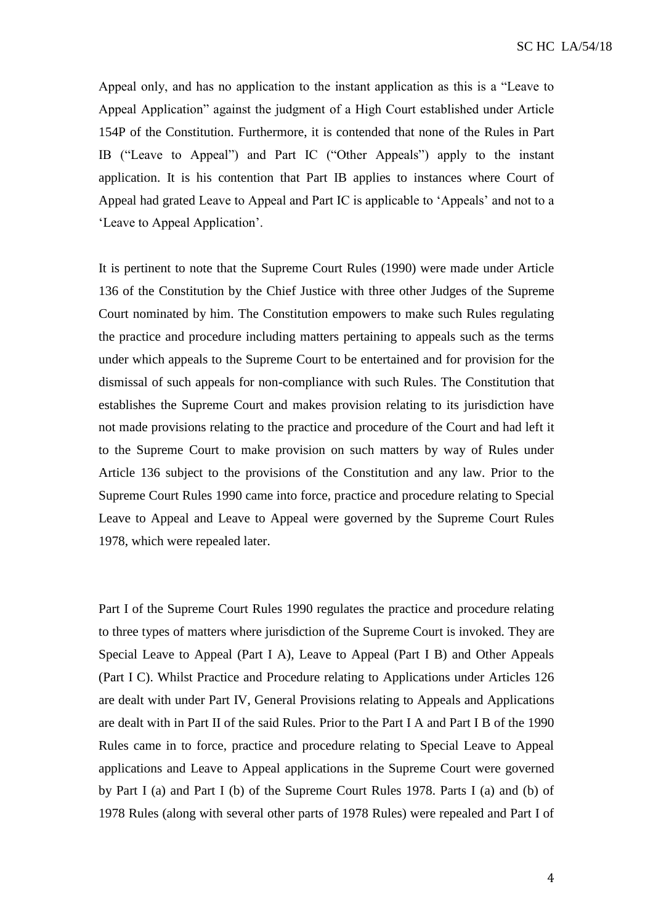Appeal only, and has no application to the instant application as this is a "Leave to Appeal Application" against the judgment of a High Court established under Article 154P of the Constitution. Furthermore, it is contended that none of the Rules in Part IB ("Leave to Appeal") and Part IC ("Other Appeals") apply to the instant application. It is his contention that Part IB applies to instances where Court of Appeal had grated Leave to Appeal and Part IC is applicable to 'Appeals' and not to a 'Leave to Appeal Application'.

It is pertinent to note that the Supreme Court Rules (1990) were made under Article 136 of the Constitution by the Chief Justice with three other Judges of the Supreme Court nominated by him. The Constitution empowers to make such Rules regulating the practice and procedure including matters pertaining to appeals such as the terms under which appeals to the Supreme Court to be entertained and for provision for the dismissal of such appeals for non-compliance with such Rules. The Constitution that establishes the Supreme Court and makes provision relating to its jurisdiction have not made provisions relating to the practice and procedure of the Court and had left it to the Supreme Court to make provision on such matters by way of Rules under Article 136 subject to the provisions of the Constitution and any law. Prior to the Supreme Court Rules 1990 came into force, practice and procedure relating to Special Leave to Appeal and Leave to Appeal were governed by the Supreme Court Rules 1978, which were repealed later.

Part I of the Supreme Court Rules 1990 regulates the practice and procedure relating to three types of matters where jurisdiction of the Supreme Court is invoked. They are Special Leave to Appeal (Part I A), Leave to Appeal (Part I B) and Other Appeals (Part I C). Whilst Practice and Procedure relating to Applications under Articles 126 are dealt with under Part IV, General Provisions relating to Appeals and Applications are dealt with in Part II of the said Rules. Prior to the Part I A and Part I B of the 1990 Rules came in to force, practice and procedure relating to Special Leave to Appeal applications and Leave to Appeal applications in the Supreme Court were governed by Part I (a) and Part I (b) of the Supreme Court Rules 1978. Parts I (a) and (b) of 1978 Rules (along with several other parts of 1978 Rules) were repealed and Part I of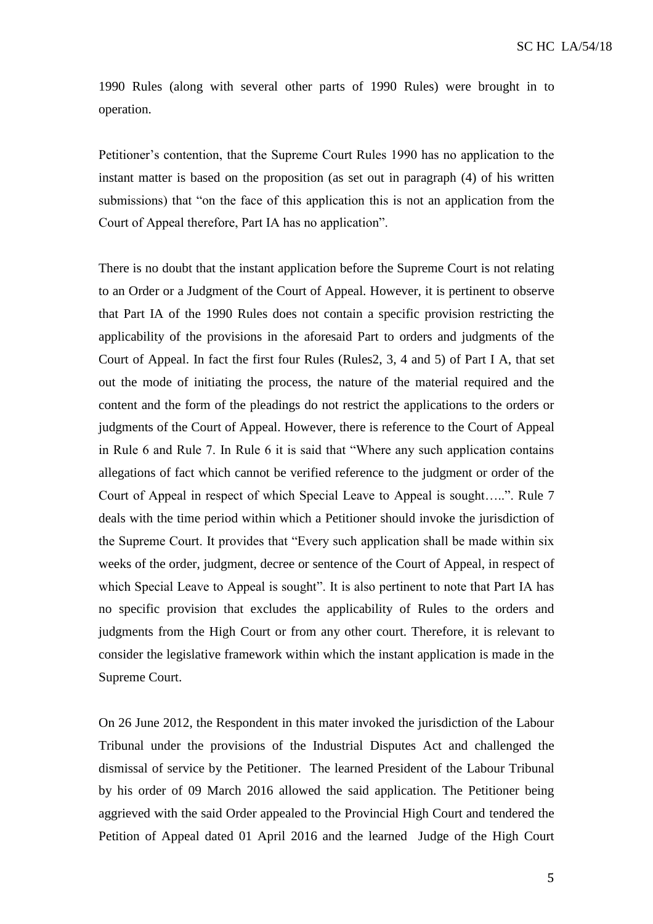1990 Rules (along with several other parts of 1990 Rules) were brought in to operation.

Petitioner's contention, that the Supreme Court Rules 1990 has no application to the instant matter is based on the proposition (as set out in paragraph (4) of his written submissions) that "on the face of this application this is not an application from the Court of Appeal therefore, Part IA has no application".

There is no doubt that the instant application before the Supreme Court is not relating to an Order or a Judgment of the Court of Appeal. However, it is pertinent to observe that Part IA of the 1990 Rules does not contain a specific provision restricting the applicability of the provisions in the aforesaid Part to orders and judgments of the Court of Appeal. In fact the first four Rules (Rules2, 3, 4 and 5) of Part I A, that set out the mode of initiating the process, the nature of the material required and the content and the form of the pleadings do not restrict the applications to the orders or judgments of the Court of Appeal. However, there is reference to the Court of Appeal in Rule 6 and Rule 7. In Rule 6 it is said that "Where any such application contains allegations of fact which cannot be verified reference to the judgment or order of the Court of Appeal in respect of which Special Leave to Appeal is sought…..". Rule 7 deals with the time period within which a Petitioner should invoke the jurisdiction of the Supreme Court. It provides that "Every such application shall be made within six weeks of the order, judgment, decree or sentence of the Court of Appeal, in respect of which Special Leave to Appeal is sought". It is also pertinent to note that Part IA has no specific provision that excludes the applicability of Rules to the orders and judgments from the High Court or from any other court. Therefore, it is relevant to consider the legislative framework within which the instant application is made in the Supreme Court.

On 26 June 2012, the Respondent in this mater invoked the jurisdiction of the Labour Tribunal under the provisions of the Industrial Disputes Act and challenged the dismissal of service by the Petitioner. The learned President of the Labour Tribunal by his order of 09 March 2016 allowed the said application. The Petitioner being aggrieved with the said Order appealed to the Provincial High Court and tendered the Petition of Appeal dated 01 April 2016 and the learned Judge of the High Court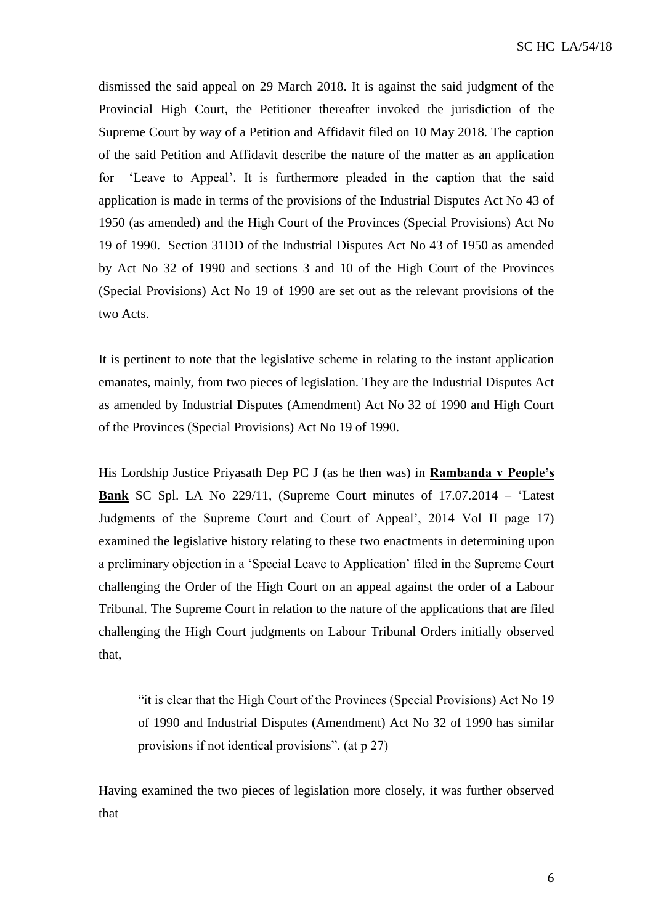dismissed the said appeal on 29 March 2018. It is against the said judgment of the Provincial High Court, the Petitioner thereafter invoked the jurisdiction of the Supreme Court by way of a Petition and Affidavit filed on 10 May 2018. The caption of the said Petition and Affidavit describe the nature of the matter as an application for 'Leave to Appeal'. It is furthermore pleaded in the caption that the said application is made in terms of the provisions of the Industrial Disputes Act No 43 of 1950 (as amended) and the High Court of the Provinces (Special Provisions) Act No 19 of 1990. Section 31DD of the Industrial Disputes Act No 43 of 1950 as amended by Act No 32 of 1990 and sections 3 and 10 of the High Court of the Provinces (Special Provisions) Act No 19 of 1990 are set out as the relevant provisions of the two Acts.

It is pertinent to note that the legislative scheme in relating to the instant application emanates, mainly, from two pieces of legislation. They are the Industrial Disputes Act as amended by Industrial Disputes (Amendment) Act No 32 of 1990 and High Court of the Provinces (Special Provisions) Act No 19 of 1990.

His Lordship Justice Priyasath Dep PC J (as he then was) in **Rambanda v People's Bank** SC Spl. LA No 229/11, (Supreme Court minutes of 17.07.2014 – 'Latest Judgments of the Supreme Court and Court of Appeal', 2014 Vol II page 17) examined the legislative history relating to these two enactments in determining upon a preliminary objection in a 'Special Leave to Application' filed in the Supreme Court challenging the Order of the High Court on an appeal against the order of a Labour Tribunal. The Supreme Court in relation to the nature of the applications that are filed challenging the High Court judgments on Labour Tribunal Orders initially observed that,

"it is clear that the High Court of the Provinces (Special Provisions) Act No 19 of 1990 and Industrial Disputes (Amendment) Act No 32 of 1990 has similar provisions if not identical provisions". (at p 27)

Having examined the two pieces of legislation more closely, it was further observed that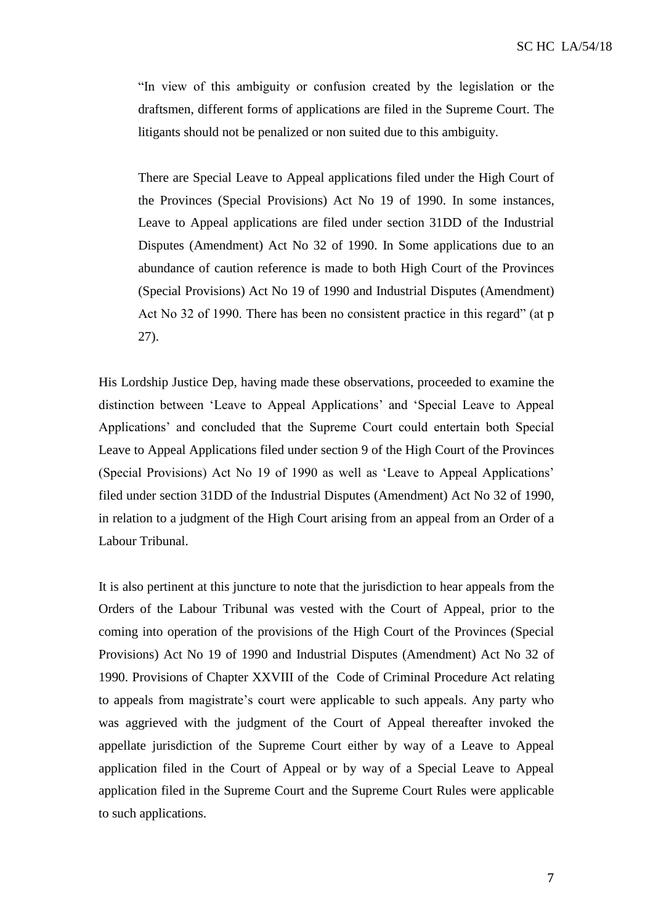"In view of this ambiguity or confusion created by the legislation or the draftsmen, different forms of applications are filed in the Supreme Court. The litigants should not be penalized or non suited due to this ambiguity.

There are Special Leave to Appeal applications filed under the High Court of the Provinces (Special Provisions) Act No 19 of 1990. In some instances, Leave to Appeal applications are filed under section 31DD of the Industrial Disputes (Amendment) Act No 32 of 1990. In Some applications due to an abundance of caution reference is made to both High Court of the Provinces (Special Provisions) Act No 19 of 1990 and Industrial Disputes (Amendment) Act No 32 of 1990. There has been no consistent practice in this regard" (at p 27).

His Lordship Justice Dep, having made these observations, proceeded to examine the distinction between 'Leave to Appeal Applications' and 'Special Leave to Appeal Applications' and concluded that the Supreme Court could entertain both Special Leave to Appeal Applications filed under section 9 of the High Court of the Provinces (Special Provisions) Act No 19 of 1990 as well as 'Leave to Appeal Applications' filed under section 31DD of the Industrial Disputes (Amendment) Act No 32 of 1990, in relation to a judgment of the High Court arising from an appeal from an Order of a Labour Tribunal.

It is also pertinent at this juncture to note that the jurisdiction to hear appeals from the Orders of the Labour Tribunal was vested with the Court of Appeal, prior to the coming into operation of the provisions of the High Court of the Provinces (Special Provisions) Act No 19 of 1990 and Industrial Disputes (Amendment) Act No 32 of 1990. Provisions of Chapter XXVIII of the Code of Criminal Procedure Act relating to appeals from magistrate's court were applicable to such appeals. Any party who was aggrieved with the judgment of the Court of Appeal thereafter invoked the appellate jurisdiction of the Supreme Court either by way of a Leave to Appeal application filed in the Court of Appeal or by way of a Special Leave to Appeal application filed in the Supreme Court and the Supreme Court Rules were applicable to such applications.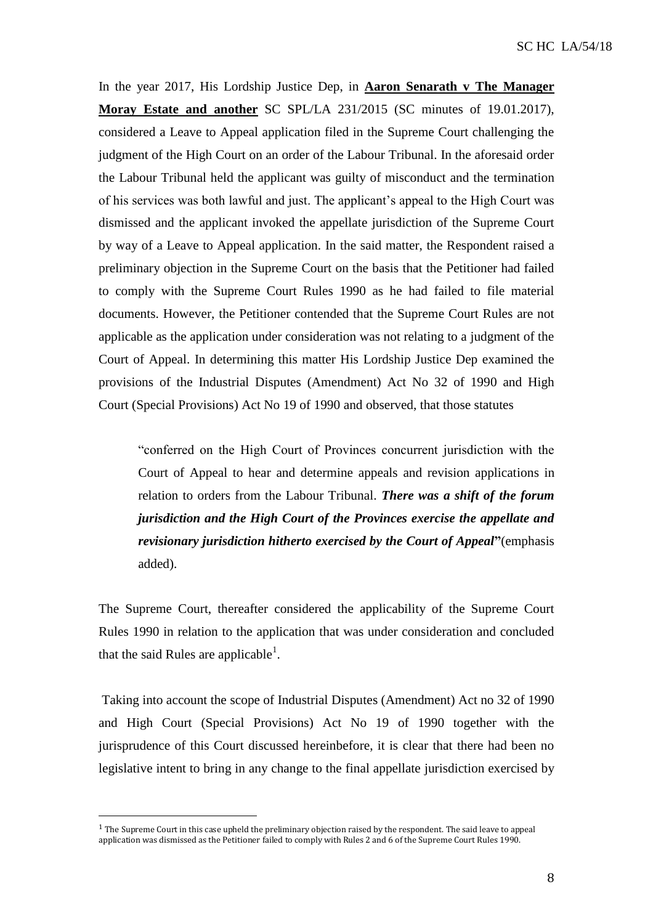In the year 2017, His Lordship Justice Dep, in **Aaron Senarath v The Manager Moray Estate and another** SC SPL/LA 231/2015 (SC minutes of 19.01.2017), considered a Leave to Appeal application filed in the Supreme Court challenging the judgment of the High Court on an order of the Labour Tribunal. In the aforesaid order the Labour Tribunal held the applicant was guilty of misconduct and the termination of his services was both lawful and just. The applicant's appeal to the High Court was dismissed and the applicant invoked the appellate jurisdiction of the Supreme Court by way of a Leave to Appeal application. In the said matter, the Respondent raised a preliminary objection in the Supreme Court on the basis that the Petitioner had failed to comply with the Supreme Court Rules 1990 as he had failed to file material documents. However, the Petitioner contended that the Supreme Court Rules are not applicable as the application under consideration was not relating to a judgment of the Court of Appeal. In determining this matter His Lordship Justice Dep examined the provisions of the Industrial Disputes (Amendment) Act No 32 of 1990 and High Court (Special Provisions) Act No 19 of 1990 and observed, that those statutes

"conferred on the High Court of Provinces concurrent jurisdiction with the Court of Appeal to hear and determine appeals and revision applications in relation to orders from the Labour Tribunal. *There was a shift of the forum jurisdiction and the High Court of the Provinces exercise the appellate and revisionary jurisdiction hitherto exercised by the Court of Appeal***"**(emphasis added).

The Supreme Court, thereafter considered the applicability of the Supreme Court Rules 1990 in relation to the application that was under consideration and concluded that the said Rules are applicable<sup>1</sup>.

Taking into account the scope of Industrial Disputes (Amendment) Act no 32 of 1990 and High Court (Special Provisions) Act No 19 of 1990 together with the jurisprudence of this Court discussed hereinbefore, it is clear that there had been no legislative intent to bring in any change to the final appellate jurisdiction exercised by

 $\overline{\phantom{a}}$ 

<sup>1</sup> The Supreme Court in this case upheld the preliminary objection raised by the respondent. The said leave to appeal application was dismissed as the Petitioner failed to comply with Rules 2 and 6 of the Supreme Court Rules 1990.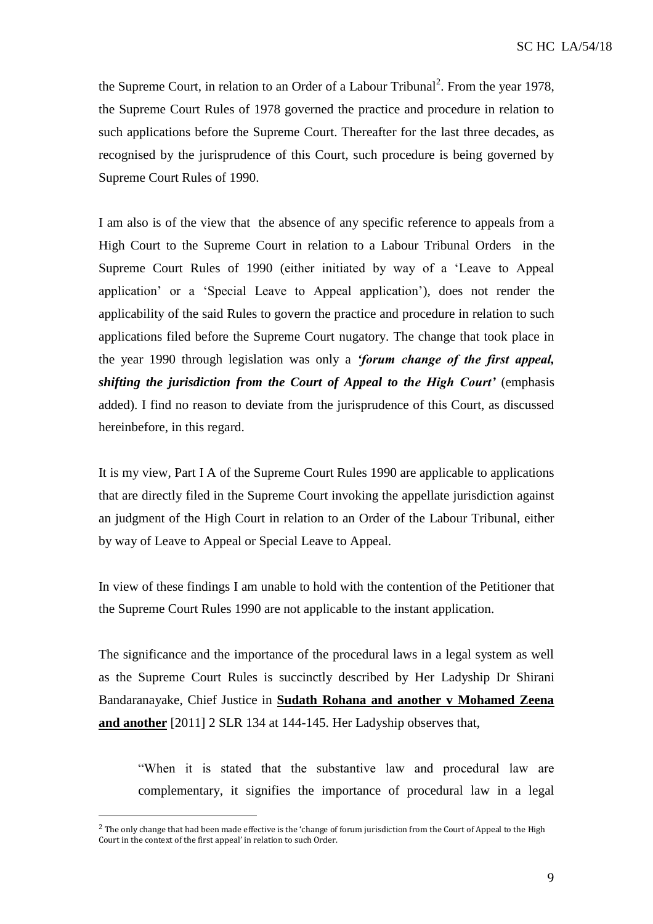the Supreme Court, in relation to an Order of a Labour Tribunal<sup>2</sup>. From the year 1978, the Supreme Court Rules of 1978 governed the practice and procedure in relation to such applications before the Supreme Court. Thereafter for the last three decades, as recognised by the jurisprudence of this Court, such procedure is being governed by Supreme Court Rules of 1990.

I am also is of the view that the absence of any specific reference to appeals from a High Court to the Supreme Court in relation to a Labour Tribunal Orders in the Supreme Court Rules of 1990 (either initiated by way of a 'Leave to Appeal application' or a 'Special Leave to Appeal application'), does not render the applicability of the said Rules to govern the practice and procedure in relation to such applications filed before the Supreme Court nugatory. The change that took place in the year 1990 through legislation was only a *'forum change of the first appeal, shifting the jurisdiction from the Court of Appeal to the High Court'* (emphasis added). I find no reason to deviate from the jurisprudence of this Court, as discussed hereinbefore, in this regard.

It is my view, Part I A of the Supreme Court Rules 1990 are applicable to applications that are directly filed in the Supreme Court invoking the appellate jurisdiction against an judgment of the High Court in relation to an Order of the Labour Tribunal, either by way of Leave to Appeal or Special Leave to Appeal.

In view of these findings I am unable to hold with the contention of the Petitioner that the Supreme Court Rules 1990 are not applicable to the instant application.

The significance and the importance of the procedural laws in a legal system as well as the Supreme Court Rules is succinctly described by Her Ladyship Dr Shirani Bandaranayake, Chief Justice in **Sudath Rohana and another v Mohamed Zeena and another** [2011] 2 SLR 134 at 144-145. Her Ladyship observes that,

"When it is stated that the substantive law and procedural law are complementary, it signifies the importance of procedural law in a legal

 $\overline{\phantom{a}}$ 

<sup>&</sup>lt;sup>2</sup> The only change that had been made effective is the 'change of forum jurisdiction from the Court of Appeal to the High Court in the context of the first appeal' in relation to such Order.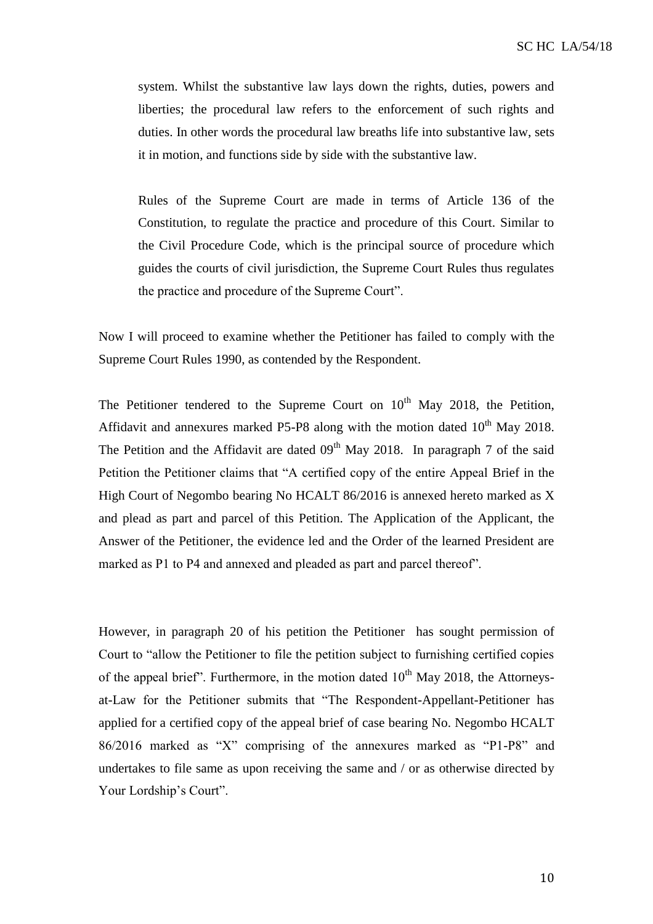system. Whilst the substantive law lays down the rights, duties, powers and liberties; the procedural law refers to the enforcement of such rights and duties. In other words the procedural law breaths life into substantive law, sets it in motion, and functions side by side with the substantive law.

Rules of the Supreme Court are made in terms of Article 136 of the Constitution, to regulate the practice and procedure of this Court. Similar to the Civil Procedure Code, which is the principal source of procedure which guides the courts of civil jurisdiction, the Supreme Court Rules thus regulates the practice and procedure of the Supreme Court".

Now I will proceed to examine whether the Petitioner has failed to comply with the Supreme Court Rules 1990, as contended by the Respondent.

The Petitioner tendered to the Supreme Court on  $10<sup>th</sup>$  May 2018, the Petition, Affidavit and annexures marked P5-P8 along with the motion dated  $10^{th}$  May 2018. The Petition and the Affidavit are dated  $09<sup>th</sup>$  May 2018. In paragraph 7 of the said Petition the Petitioner claims that "A certified copy of the entire Appeal Brief in the High Court of Negombo bearing No HCALT 86/2016 is annexed hereto marked as X and plead as part and parcel of this Petition. The Application of the Applicant, the Answer of the Petitioner, the evidence led and the Order of the learned President are marked as P1 to P4 and annexed and pleaded as part and parcel thereof".

However, in paragraph 20 of his petition the Petitioner has sought permission of Court to "allow the Petitioner to file the petition subject to furnishing certified copies of the appeal brief". Furthermore, in the motion dated  $10<sup>th</sup>$  May 2018, the Attorneysat-Law for the Petitioner submits that "The Respondent-Appellant-Petitioner has applied for a certified copy of the appeal brief of case bearing No. Negombo HCALT 86/2016 marked as "X" comprising of the annexures marked as "P1-P8" and undertakes to file same as upon receiving the same and / or as otherwise directed by Your Lordship's Court".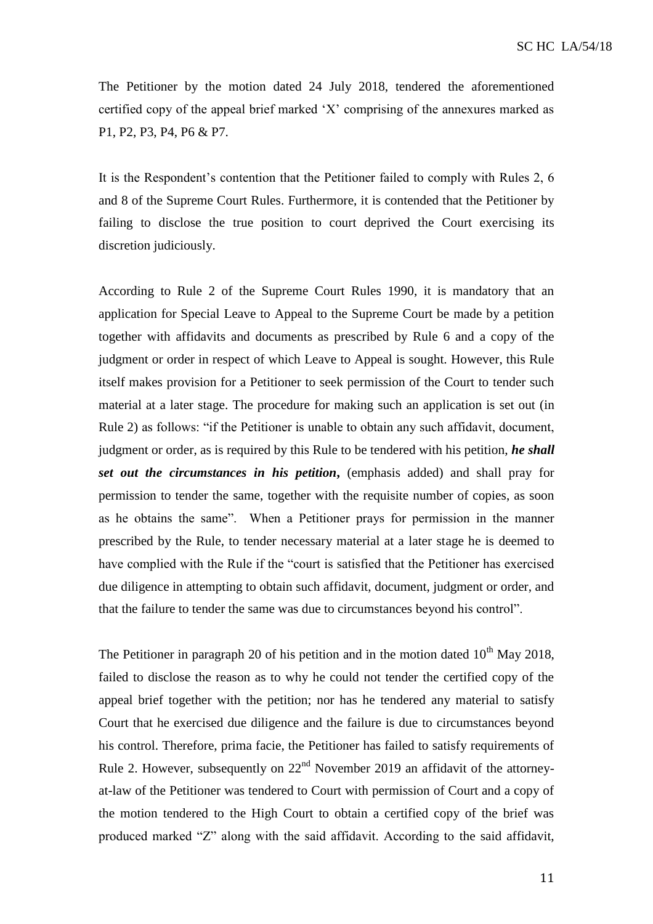The Petitioner by the motion dated 24 July 2018, tendered the aforementioned certified copy of the appeal brief marked 'X' comprising of the annexures marked as P1, P2, P3, P4, P6 & P7.

It is the Respondent's contention that the Petitioner failed to comply with Rules 2, 6 and 8 of the Supreme Court Rules. Furthermore, it is contended that the Petitioner by failing to disclose the true position to court deprived the Court exercising its discretion judiciously.

According to Rule 2 of the Supreme Court Rules 1990, it is mandatory that an application for Special Leave to Appeal to the Supreme Court be made by a petition together with affidavits and documents as prescribed by Rule 6 and a copy of the judgment or order in respect of which Leave to Appeal is sought. However, this Rule itself makes provision for a Petitioner to seek permission of the Court to tender such material at a later stage. The procedure for making such an application is set out (in Rule 2) as follows: "if the Petitioner is unable to obtain any such affidavit, document, judgment or order, as is required by this Rule to be tendered with his petition, *he shall set out the circumstances in his petition***,** (emphasis added) and shall pray for permission to tender the same, together with the requisite number of copies, as soon as he obtains the same". When a Petitioner prays for permission in the manner prescribed by the Rule, to tender necessary material at a later stage he is deemed to have complied with the Rule if the "court is satisfied that the Petitioner has exercised due diligence in attempting to obtain such affidavit, document, judgment or order, and that the failure to tender the same was due to circumstances beyond his control".

The Petitioner in paragraph 20 of his petition and in the motion dated  $10^{th}$  May 2018, failed to disclose the reason as to why he could not tender the certified copy of the appeal brief together with the petition; nor has he tendered any material to satisfy Court that he exercised due diligence and the failure is due to circumstances beyond his control. Therefore, prima facie, the Petitioner has failed to satisfy requirements of Rule 2. However, subsequently on  $22<sup>nd</sup>$  November 2019 an affidavit of the attorneyat-law of the Petitioner was tendered to Court with permission of Court and a copy of the motion tendered to the High Court to obtain a certified copy of the brief was produced marked "Z" along with the said affidavit. According to the said affidavit,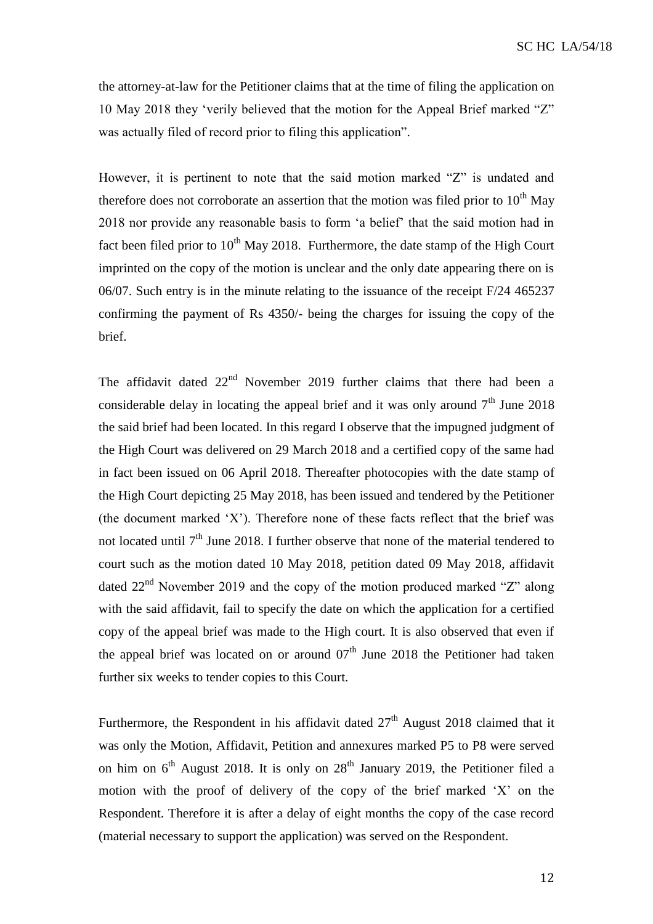the attorney-at-law for the Petitioner claims that at the time of filing the application on 10 May 2018 they 'verily believed that the motion for the Appeal Brief marked "Z" was actually filed of record prior to filing this application".

However, it is pertinent to note that the said motion marked "Z" is undated and therefore does not corroborate an assertion that the motion was filed prior to  $10<sup>th</sup>$  May 2018 nor provide any reasonable basis to form 'a belief' that the said motion had in fact been filed prior to  $10^{th}$  May 2018. Furthermore, the date stamp of the High Court imprinted on the copy of the motion is unclear and the only date appearing there on is 06/07. Such entry is in the minute relating to the issuance of the receipt F/24 465237 confirming the payment of Rs 4350/- being the charges for issuing the copy of the brief.

The affidavit dated  $22<sup>nd</sup>$  November 2019 further claims that there had been a considerable delay in locating the appeal brief and it was only around  $7<sup>th</sup>$  June 2018 the said brief had been located. In this regard I observe that the impugned judgment of the High Court was delivered on 29 March 2018 and a certified copy of the same had in fact been issued on 06 April 2018. Thereafter photocopies with the date stamp of the High Court depicting 25 May 2018, has been issued and tendered by the Petitioner (the document marked 'X'). Therefore none of these facts reflect that the brief was not located until  $7<sup>th</sup>$  June 2018. I further observe that none of the material tendered to court such as the motion dated 10 May 2018, petition dated 09 May 2018, affidavit dated  $22<sup>nd</sup>$  November 2019 and the copy of the motion produced marked "Z" along with the said affidavit, fail to specify the date on which the application for a certified copy of the appeal brief was made to the High court. It is also observed that even if the appeal brief was located on or around  $07<sup>th</sup>$  June 2018 the Petitioner had taken further six weeks to tender copies to this Court.

Furthermore, the Respondent in his affidavit dated  $27<sup>th</sup>$  August 2018 claimed that it was only the Motion, Affidavit, Petition and annexures marked P5 to P8 were served on him on  $6<sup>th</sup>$  August 2018. It is only on  $28<sup>th</sup>$  January 2019, the Petitioner filed a motion with the proof of delivery of the copy of the brief marked 'X' on the Respondent. Therefore it is after a delay of eight months the copy of the case record (material necessary to support the application) was served on the Respondent.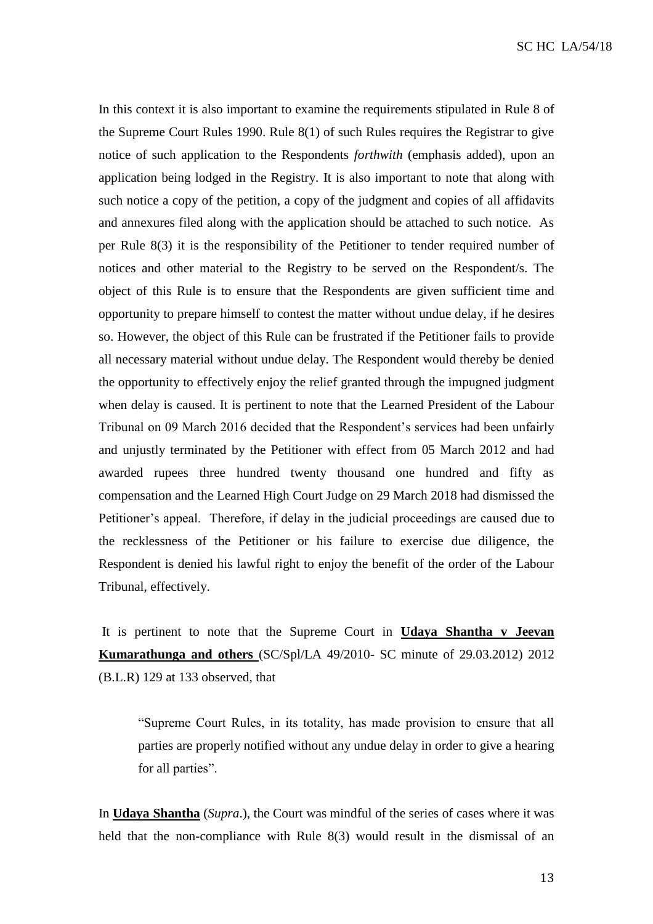In this context it is also important to examine the requirements stipulated in Rule 8 of the Supreme Court Rules 1990. Rule 8(1) of such Rules requires the Registrar to give notice of such application to the Respondents *forthwith* (emphasis added), upon an application being lodged in the Registry. It is also important to note that along with such notice a copy of the petition, a copy of the judgment and copies of all affidavits and annexures filed along with the application should be attached to such notice. As per Rule 8(3) it is the responsibility of the Petitioner to tender required number of notices and other material to the Registry to be served on the Respondent/s. The object of this Rule is to ensure that the Respondents are given sufficient time and opportunity to prepare himself to contest the matter without undue delay, if he desires so. However, the object of this Rule can be frustrated if the Petitioner fails to provide all necessary material without undue delay. The Respondent would thereby be denied the opportunity to effectively enjoy the relief granted through the impugned judgment when delay is caused. It is pertinent to note that the Learned President of the Labour Tribunal on 09 March 2016 decided that the Respondent's services had been unfairly and unjustly terminated by the Petitioner with effect from 05 March 2012 and had awarded rupees three hundred twenty thousand one hundred and fifty as compensation and the Learned High Court Judge on 29 March 2018 had dismissed the Petitioner's appeal. Therefore, if delay in the judicial proceedings are caused due to the recklessness of the Petitioner or his failure to exercise due diligence, the Respondent is denied his lawful right to enjoy the benefit of the order of the Labour Tribunal, effectively.

It is pertinent to note that the Supreme Court in **Udaya Shantha v Jeevan Kumarathunga and others** (SC/Spl/LA 49/2010- SC minute of 29.03.2012) 2012 (B.L.R) 129 at 133 observed, that

"Supreme Court Rules, in its totality, has made provision to ensure that all parties are properly notified without any undue delay in order to give a hearing for all parties".

In **Udaya Shantha** (*Supra*.), the Court was mindful of the series of cases where it was held that the non-compliance with Rule 8(3) would result in the dismissal of an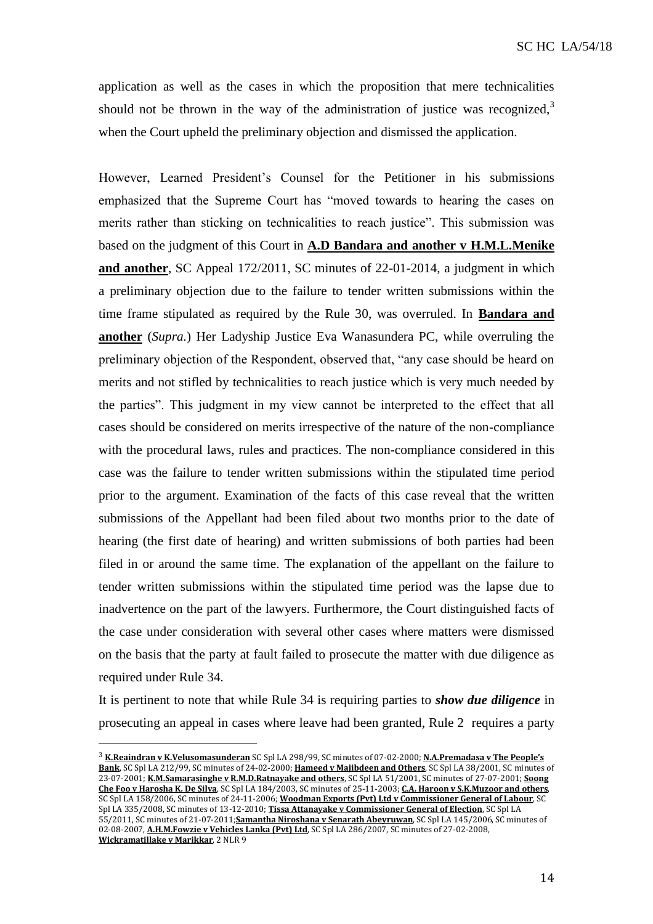application as well as the cases in which the proposition that mere technicalities should not be thrown in the way of the administration of justice was recognized, $3$ when the Court upheld the preliminary objection and dismissed the application.

However, Learned President's Counsel for the Petitioner in his submissions emphasized that the Supreme Court has "moved towards to hearing the cases on merits rather than sticking on technicalities to reach justice". This submission was based on the judgment of this Court in **A.D Bandara and another v H.M.L.Menike and another**, SC Appeal 172/2011, SC minutes of 22-01-2014, a judgment in which a preliminary objection due to the failure to tender written submissions within the time frame stipulated as required by the Rule 30, was overruled. In **Bandara and another** (*Supra.*) Her Ladyship Justice Eva Wanasundera PC, while overruling the preliminary objection of the Respondent, observed that, "any case should be heard on merits and not stifled by technicalities to reach justice which is very much needed by the parties". This judgment in my view cannot be interpreted to the effect that all cases should be considered on merits irrespective of the nature of the non-compliance with the procedural laws, rules and practices. The non-compliance considered in this case was the failure to tender written submissions within the stipulated time period prior to the argument. Examination of the facts of this case reveal that the written submissions of the Appellant had been filed about two months prior to the date of hearing (the first date of hearing) and written submissions of both parties had been filed in or around the same time. The explanation of the appellant on the failure to tender written submissions within the stipulated time period was the lapse due to inadvertence on the part of the lawyers. Furthermore, the Court distinguished facts of the case under consideration with several other cases where matters were dismissed on the basis that the party at fault failed to prosecute the matter with due diligence as required under Rule 34.

It is pertinent to note that while Rule 34 is requiring parties to *show due diligence* in prosecuting an appeal in cases where leave had been granted, Rule 2 requires a party

<sup>3</sup> **K.Reaindran v K.Velusomasunderan** SC Spl LA 298/99, SC minutes of 07-02-2000; **N.A.Premadasa v The People's Bank**, SC Spl LA 212/99, SC minutes of 24-02-2000; **Hameed v Majibdeen and Others**, SC Spl LA 38/2001, SC minutes of 23-07-2001; **K.M.Samarasinghe v R.M.D.Ratnayake and others**, SC Spl LA 51/2001, SC minutes of 27-07-2001; **Soong Che Foo v Harosha K. De Silva**, SC Spl LA 184/2003, SC minutes of 25-11-2003; **C.A. Haroon v S.K.Muzoor and others**, SC Spl LA 158/2006, SC minutes of 24-11-2006; **Woodman Exports (Pvt) Ltd v Commissioner General of Labour**, SC Spl LA 335/2008, SC minutes of 13-12-2010; **Tissa Attanayake v Commissioner General of Election**, SC Spl LA 55/2011, SC minutes of 21-07-2011;**Samantha Niroshana v Senarath Abeyruwan**, SC Spl LA 145/2006, SC minutes of 02-08-2007, **A.H.M.Fowzie v Vehicles Lanka (Pvt) Ltd**, SC Spl LA 286/2007, SC minutes of 27-02-2008, **Wickramatillake v Marikkar**, 2 NLR 9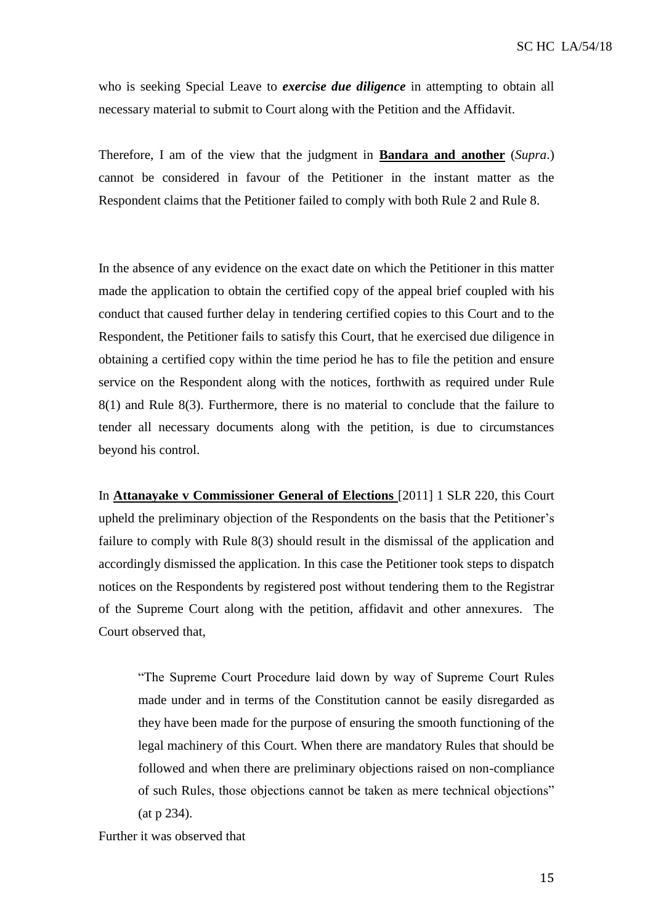who is seeking Special Leave to *exercise due diligence* in attempting to obtain all necessary material to submit to Court along with the Petition and the Affidavit.

Therefore, I am of the view that the judgment in **Bandara and another** (*Supra*.) cannot be considered in favour of the Petitioner in the instant matter as the Respondent claims that the Petitioner failed to comply with both Rule 2 and Rule 8.

In the absence of any evidence on the exact date on which the Petitioner in this matter made the application to obtain the certified copy of the appeal brief coupled with his conduct that caused further delay in tendering certified copies to this Court and to the Respondent, the Petitioner fails to satisfy this Court, that he exercised due diligence in obtaining a certified copy within the time period he has to file the petition and ensure service on the Respondent along with the notices, forthwith as required under Rule 8(1) and Rule 8(3). Furthermore, there is no material to conclude that the failure to tender all necessary documents along with the petition, is due to circumstances beyond his control.

In **Attanayake v Commissioner General of Elections** [2011] 1 SLR 220, this Court upheld the preliminary objection of the Respondents on the basis that the Petitioner's failure to comply with Rule 8(3) should result in the dismissal of the application and accordingly dismissed the application. In this case the Petitioner took steps to dispatch notices on the Respondents by registered post without tendering them to the Registrar of the Supreme Court along with the petition, affidavit and other annexures. The Court observed that,

"The Supreme Court Procedure laid down by way of Supreme Court Rules made under and in terms of the Constitution cannot be easily disregarded as they have been made for the purpose of ensuring the smooth functioning of the legal machinery of this Court. When there are mandatory Rules that should be followed and when there are preliminary objections raised on non-compliance of such Rules, those objections cannot be taken as mere technical objections" (at p 234).

Further it was observed that